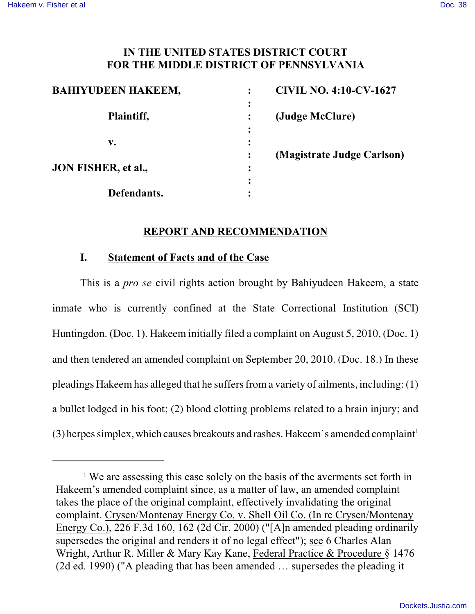#### **IN THE UNITED STATES DISTRICT COURT FOR THE MIDDLE DISTRICT OF PENNSYLVANIA**

| <b>BAHIYUDEEN HAKEEM,</b> |   | <b>CIVIL NO. 4:10-CV-1627</b> |
|---------------------------|---|-------------------------------|
| Plaintiff,                |   | (Judge McClure)               |
| v.                        |   |                               |
|                           |   | (Magistrate Judge Carlson)    |
| JON FISHER, et al.,       | ٠ |                               |
|                           |   |                               |
| Defendants.               |   |                               |

#### **REPORT AND RECOMMENDATION**

#### **I. Statement of Facts and of the Case**

This is a *pro se* civil rights action brought by Bahiyudeen Hakeem, a state inmate who is currently confined at the State Correctional Institution (SCI) Huntingdon. (Doc. 1). Hakeem initially filed a complaint on August 5, 2010, (Doc. 1) and then tendered an amended complaint on September 20, 2010. (Doc. 18.) In these pleadings Hakeem has alleged that he suffers from a variety of ailments, including:(1) a bullet lodged in his foot; (2) blood clotting problems related to a brain injury; and (3) herpes simplex, which causes breakouts and rashes. Hakeem's amended complaint<sup>1</sup>

<sup>&</sup>lt;sup>1</sup> We are assessing this case solely on the basis of the averments set forth in Hakeem's amended complaint since, as a matter of law, an amended complaint takes the place of the original complaint, effectively invalidating the original complaint. Crysen/Montenay Energy Co. v. Shell Oil Co. (In re Crysen/Montenay Energy Co.), 226 F.3d 160, 162 (2d Cir. 2000) ("[A]n amended pleading ordinarily supersedes the original and renders it of no legal effect"); see 6 Charles Alan Wright, Arthur R. Miller & Mary Kay Kane, Federal Practice & Procedure § 1476 (2d ed. 1990) ("A pleading that has been amended … supersedes the pleading it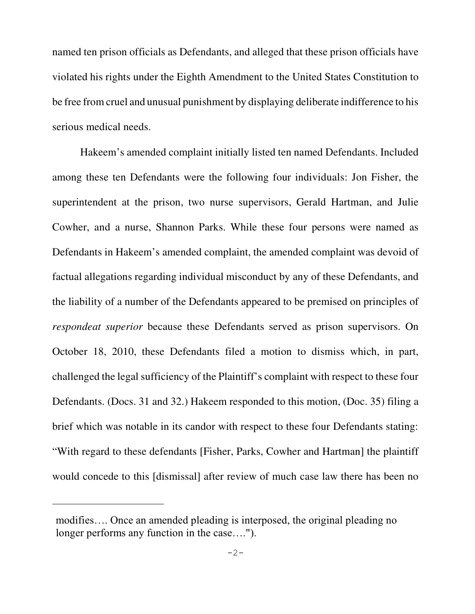named ten prison officials as Defendants, and alleged that these prison officials have violated his rights under the Eighth Amendment to the United States Constitution to be free from cruel and unusual punishment by displaying deliberate indifference to his serious medical needs.

Hakeem's amended complaint initially listed ten named Defendants. Included among these ten Defendants were the following four individuals: Jon Fisher, the superintendent at the prison, two nurse supervisors, Gerald Hartman, and Julie Cowher, and a nurse, Shannon Parks. While these four persons were named as Defendants in Hakeem's amended complaint, the amended complaint was devoid of factual allegations regarding individual misconduct by any of these Defendants, and the liability of a number of the Defendants appeared to be premised on principles of *respondeat superior* because these Defendants served as prison supervisors. On October 18, 2010, these Defendants filed a motion to dismiss which, in part, challenged the legal sufficiency of the Plaintiff's complaint with respect to these four Defendants. (Docs. 31 and 32.) Hakeem responded to this motion, (Doc. 35) filing a brief which was notable in its candor with respect to these four Defendants stating: "With regard to these defendants [Fisher, Parks, Cowher and Hartman] the plaintiff would concede to this [dismissal] after review of much case law there has been no

modifies…. Once an amended pleading is interposed, the original pleading no longer performs any function in the case….").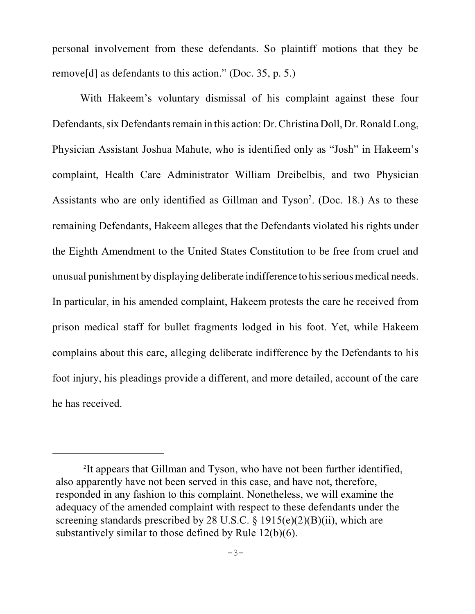personal involvement from these defendants. So plaintiff motions that they be remove[d] as defendants to this action." (Doc. 35, p. 5.)

With Hakeem's voluntary dismissal of his complaint against these four Defendants, six Defendants remain in this action: Dr. Christina Doll, Dr. Ronald Long, Physician Assistant Joshua Mahute, who is identified only as "Josh" in Hakeem's complaint, Health Care Administrator William Dreibelbis, and two Physician Assistants who are only identified as Gillman and Tyson<sup>2</sup>. (Doc. 18.) As to these remaining Defendants, Hakeem alleges that the Defendants violated his rights under the Eighth Amendment to the United States Constitution to be free from cruel and unusual punishment by displaying deliberate indifference to hisserious medical needs. In particular, in his amended complaint, Hakeem protests the care he received from prison medical staff for bullet fragments lodged in his foot. Yet, while Hakeem complains about this care, alleging deliberate indifference by the Defendants to his foot injury, his pleadings provide a different, and more detailed, account of the care he has received.

<sup>&</sup>lt;sup>2</sup>It appears that Gillman and Tyson, who have not been further identified, also apparently have not been served in this case, and have not, therefore, responded in any fashion to this complaint. Nonetheless, we will examine the adequacy of the amended complaint with respect to these defendants under the screening standards prescribed by 28 U.S.C.  $\S$  1915(e)(2)(B)(ii), which are substantively similar to those defined by Rule 12(b)(6).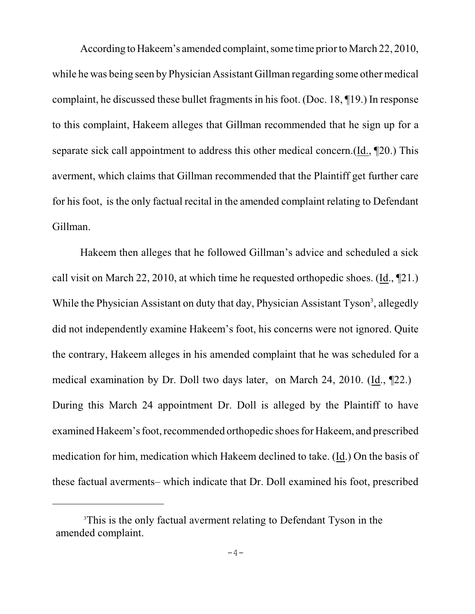According to Hakeem's amended complaint, some time prior to March 22, 2010, while he was being seen by Physician Assistant Gillman regarding some other medical complaint, he discussed these bullet fragments in his foot. (Doc. 18, ¶19.) In response to this complaint, Hakeem alleges that Gillman recommended that he sign up for a separate sick call appointment to address this other medical concern.(Id., ¶20.) This averment, which claims that Gillman recommended that the Plaintiff get further care for his foot, is the only factual recital in the amended complaint relating to Defendant Gillman.

Hakeem then alleges that he followed Gillman's advice and scheduled a sick call visit on March 22, 2010, at which time he requested orthopedic shoes.  $(\underline{Id}, \P21)$ . While the Physician Assistant on duty that day, Physician Assistant Tyson<sup>3</sup>, allegedly did not independently examine Hakeem's foot, his concerns were not ignored. Quite the contrary, Hakeem alleges in his amended complaint that he was scheduled for a medical examination by Dr. Doll two days later, on March 24, 2010. (Id., ¶22.) During this March 24 appointment Dr. Doll is alleged by the Plaintiff to have examined Hakeem's foot, recommended orthopedic shoes for Hakeem, and prescribed medication for him, medication which Hakeem declined to take. (Id.) On the basis of these factual averments– which indicate that Dr. Doll examined his foot, prescribed

<sup>&</sup>lt;sup>3</sup>This is the only factual averment relating to Defendant Tyson in the amended complaint.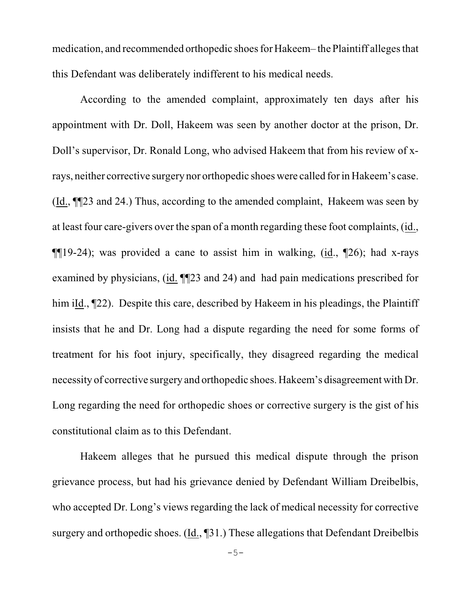medication, and recommended orthopedic shoes for Hakeem– the Plaintiff alleges that this Defendant was deliberately indifferent to his medical needs.

According to the amended complaint, approximately ten days after his appointment with Dr. Doll, Hakeem was seen by another doctor at the prison, Dr. Doll's supervisor, Dr. Ronald Long, who advised Hakeem that from his review of xrays, neither corrective surgery nor orthopedic shoes were called for in Hakeem's case. (Id., ¶¶23 and 24.) Thus, according to the amended complaint, Hakeem was seen by at least four care-givers over the span of a month regarding these foot complaints, (id.,  $\P$ [19-24); was provided a cane to assist him in walking, (id.,  $\P$ 26); had x-rays examined by physicians, (id. ¶¶23 and 24) and had pain medications prescribed for him iId., [22]. Despite this care, described by Hakeem in his pleadings, the Plaintiff insists that he and Dr. Long had a dispute regarding the need for some forms of treatment for his foot injury, specifically, they disagreed regarding the medical necessity of corrective surgery and orthopedic shoes. Hakeem's disagreement with Dr. Long regarding the need for orthopedic shoes or corrective surgery is the gist of his constitutional claim as to this Defendant.

Hakeem alleges that he pursued this medical dispute through the prison grievance process, but had his grievance denied by Defendant William Dreibelbis, who accepted Dr. Long's views regarding the lack of medical necessity for corrective surgery and orthopedic shoes. (Id., ¶31.) These allegations that Defendant Dreibelbis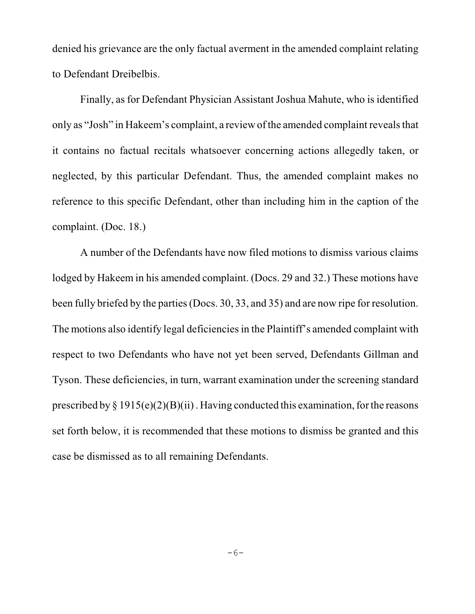denied his grievance are the only factual averment in the amended complaint relating to Defendant Dreibelbis.

Finally, as for Defendant Physician Assistant Joshua Mahute, who is identified only as "Josh" in Hakeem's complaint, a review ofthe amended complaint reveals that it contains no factual recitals whatsoever concerning actions allegedly taken, or neglected, by this particular Defendant. Thus, the amended complaint makes no reference to this specific Defendant, other than including him in the caption of the complaint. (Doc. 18.)

A number of the Defendants have now filed motions to dismiss various claims lodged by Hakeem in his amended complaint. (Docs. 29 and 32.) These motions have been fully briefed by the parties(Docs. 30, 33, and 35) and are now ripe for resolution. The motions also identify legal deficiencies in the Plaintiff's amended complaint with respect to two Defendants who have not yet been served, Defendants Gillman and Tyson. These deficiencies, in turn, warrant examination under the screening standard prescribed by  $\S 1915(e)(2)(B)(ii)$ . Having conducted this examination, for the reasons set forth below, it is recommended that these motions to dismiss be granted and this case be dismissed as to all remaining Defendants.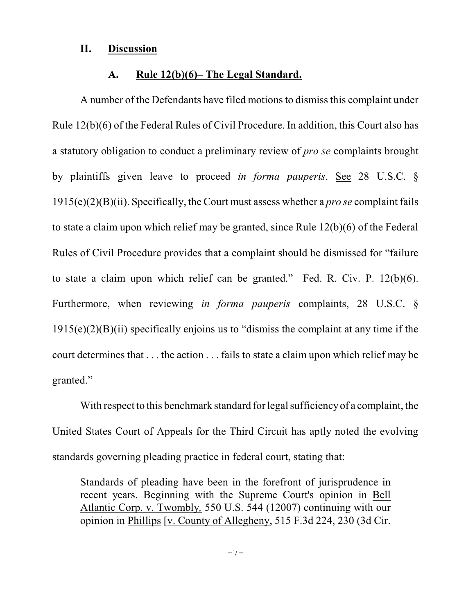#### **II. Discussion**

#### **A. Rule 12(b)(6)– The Legal Standard.**

A number of the Defendants have filed motions to dismiss this complaint under Rule 12(b)(6) of the Federal Rules of Civil Procedure. In addition, this Court also has a statutory obligation to conduct a preliminary review of *pro se* complaints brought by plaintiffs given leave to proceed *in forma pauperis*. See 28 U.S.C. § 1915(e)(2)(B)(ii). Specifically, the Court must assess whether a *pro se* complaint fails to state a claim upon which relief may be granted, since Rule 12(b)(6) of the Federal Rules of Civil Procedure provides that a complaint should be dismissed for "failure to state a claim upon which relief can be granted." Fed. R. Civ. P. 12(b)(6). Furthermore, when reviewing *in forma pauperis* complaints, 28 U.S.C. §  $1915(e)(2)(B)(ii)$  specifically enjoins us to "dismiss the complaint at any time if the court determines that . . . the action . . . fails to state a claim upon which relief may be granted."

With respect to this benchmark standard for legal sufficiency of a complaint, the United States Court of Appeals for the Third Circuit has aptly noted the evolving standards governing pleading practice in federal court, stating that:

Standards of pleading have been in the forefront of jurisprudence in recent years. Beginning with the Supreme Court's opinion in [Bell](http://www.westlaw.com/Find/Default.wl?rs=dfa1.0&vr=2.0&DB=708&FindType=Y&SerialNum=2012293296) [Atlantic Corp. v. Twombly](http://www.westlaw.com/Find/Default.wl?rs=dfa1.0&vr=2.0&DB=708&FindType=Y&SerialNum=2012293296)*,* 550 U.S. 544 (12007) continuing with our opinion in [Phillips](http://www.westlaw.com/Find/Default.wl?rs=dfa1.0&vr=2.0&FindType=Y&SerialNum=2015125207) [v. County of Allegheny, 515 F.3d 224, 230 (3d Cir.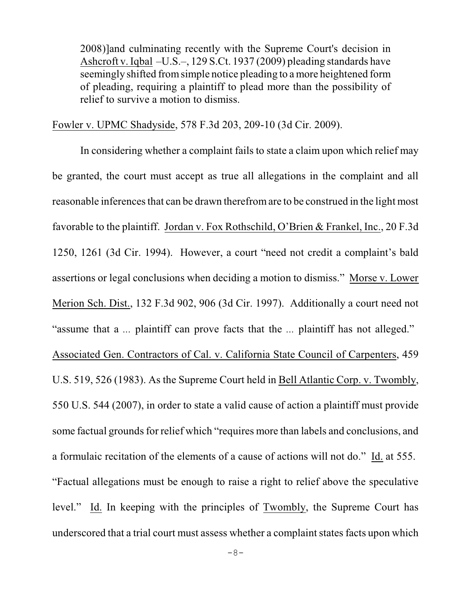2008)]and culminating recently with the Supreme Court's decision in [Ashcroft v. Iqbal](http://www.westlaw.com/Find/Default.wl?rs=dfa1.0&vr=2.0&DB=708&FindType=Y&ReferencePositionType=S&SerialNum=2018848474&ReferencePosition=1955) –U.S.–, 129 S.Ct. 1937 (2009) pleading standards have seemingly shifted fromsimple notice pleading to a more heightened form of pleading, requiring a plaintiff to plead more than the possibility of relief to survive a motion to dismiss.

Fowler v. UPMC Shadyside, 578 F.3d 203, 209-10 (3d Cir. 2009).

In considering whether a complaint fails to state a claim upon which relief may be granted, the court must accept as true all allegations in the complaint and all reasonable inferences that can be drawn therefrom are to be construed in the light most favorable to the plaintiff. Jordan v. Fox Rothschild, O'Brien & Frankel, Inc., 20 F.3d 1250, 1261 (3d Cir. 1994). However, a court "need not credit a complaint's bald assertions or legal conclusions when deciding a motion to dismiss." Morse v. Lower Merion Sch. Dist., 132 F.3d 902, 906 (3d Cir. 1997). Additionally a court need not "assume that a *...* plaintiff can prove facts that the *...* plaintiff has not alleged." Associated Gen. Contractors of Cal. v. California State Council of Carpenters, 459 U.S. 519, 526 (1983). As the Supreme Court held in Bell Atlantic Corp. v. Twombly, 550 U.S. 544 (2007), in order to state a valid cause of action a plaintiff must provide some factual grounds for relief which "requires more than labels and conclusions, and a formulaic recitation of the elements of a cause of actions will not do." Id. at 555. "Factual allegations must be enough to raise a right to relief above the speculative level." Id. In keeping with the principles of Twombly, the Supreme Court has underscored that a trial court must assess whether a complaint states facts upon which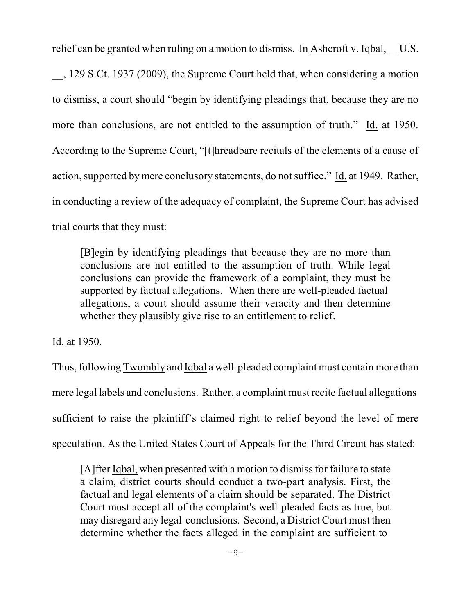relief can be granted when ruling on a motion to dismiss. In Ashcroft v. Iqbal, U.S.

\_\_, 129 S.Ct. 1937 (2009), the Supreme Court held that, when considering a motion to dismiss, a court should "begin by identifying pleadings that, because they are no more than conclusions, are not entitled to the assumption of truth." Id. at 1950. According to the Supreme Court, "[t]hreadbare recitals of the elements of a cause of action, supported by mere conclusory statements, do not suffice." Id. at 1949. Rather, in conducting a review of the adequacy of complaint, the Supreme Court has advised trial courts that they must:

[B]egin by identifying pleadings that because they are no more than conclusions are not entitled to the assumption of truth. While legal conclusions can provide the framework of a complaint, they must be supported by factual allegations. When there are well-pleaded factual allegations, a court should assume their veracity and then determine whether they plausibly give rise to an entitlement to relief.

Id. at 1950.

Thus, following Twombly and Iqbal a well-pleaded complaint must contain more than mere legal labels and conclusions. Rather, a complaint must recite factual allegations sufficient to raise the plaintiff's claimed right to relief beyond the level of mere speculation. As the United States Court of Appeals for the Third Circuit has stated:

[A]fter [Iqbal,](http://www.westlaw.com/Find/Default.wl?rs=dfa1.0&vr=2.0&FindType=Y&SerialNum=2018848474) when presented with a motion to dismiss for failure to state a claim, district courts should conduct a two-part analysis. First, the factual and legal elements of a claim should be separated. The District Court must accept all of the complaint's well-pleaded facts as true, but may disregard any legal conclusions. Second, a District Court must then determine whether the facts alleged in the complaint are sufficient to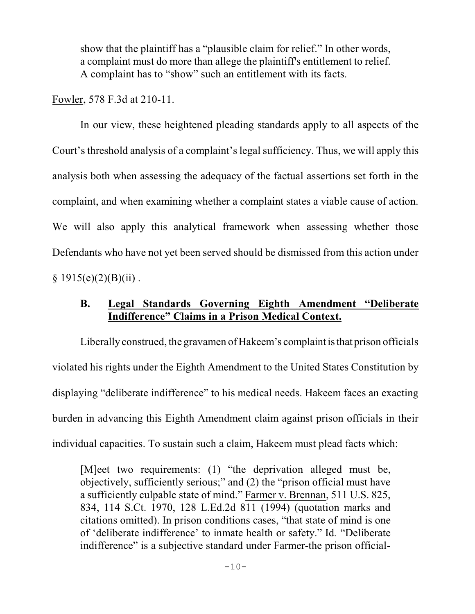show that the plaintiff has a "plausible claim for relief." In other words, a complaint must do more than allege the plaintiff's entitlement to relief. A complaint has to "show" such an entitlement with its facts.

Fowler, 578 F.3d at 210-11.

In our view, these heightened pleading standards apply to all aspects of the Court's threshold analysis of a complaint's legal sufficiency. Thus, we will apply this analysis both when assessing the adequacy of the factual assertions set forth in the complaint, and when examining whether a complaint states a viable cause of action. We will also apply this analytical framework when assessing whether those Defendants who have not yet been served should be dismissed from this action under  $§ 1915(e)(2)(B)(ii)$ .

# **B. Legal Standards Governing Eighth Amendment "Deliberate Indifference" Claims in a Prison Medical Context.**

Liberally construed, the gravamen of Hakeem's complaint is that prison officials violated his rights under the Eighth Amendment to the United States Constitution by displaying "deliberate indifference" to his medical needs. Hakeem faces an exacting burden in advancing this Eighth Amendment claim against prison officials in their individual capacities. To sustain such a claim, Hakeem must plead facts which:

[M]eet two requirements: (1) "the deprivation alleged must be, objectively, sufficiently serious;" and (2) the "prison official must have a sufficiently culpable state of mind." Farmer v. Brennan, 511 U.S. 825, 834, 114 S.Ct. 1970, 128 L.Ed.2d 811 (1994) (quotation marks and citations omitted). In prison conditions cases, "that state of mind is one of 'deliberate indifference' to inmate health or safety." Id*.* "Deliberate indifference" is a subjective standard under Farmer-the prison official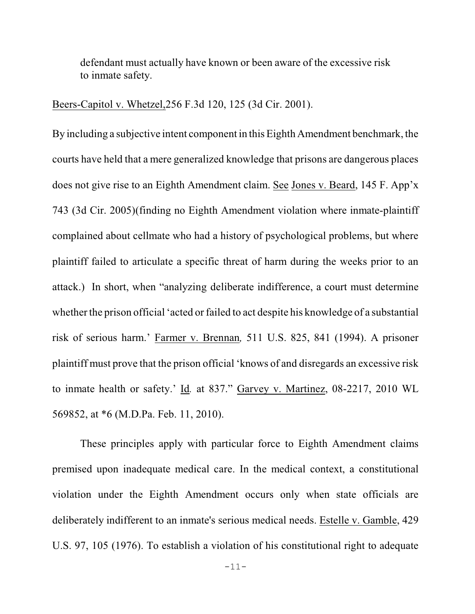defendant must actually have known or been aware of the excessive risk to inmate safety.

#### Beers-Capitol v. Whetzel,256 F.3d 120, 125 (3d Cir. 2001).

By including a subjective intent component in this Eighth Amendment benchmark, the courts have held that a mere generalized knowledge that prisons are dangerous places does not give rise to an Eighth Amendment claim. See Jones v. Beard, 145 F. App'x 743 (3d Cir. 2005)(finding no Eighth Amendment violation where inmate-plaintiff complained about cellmate who had a history of psychological problems, but where plaintiff failed to articulate a specific threat of harm during the weeks prior to an attack.) In short, when "analyzing deliberate indifference, a court must determine whether the prison official 'acted or failed to act despite his knowledge of a substantial risk of serious harm.' Farmer v. Brennan*,* 511 U.S. 825, 841 (1994). A prisoner plaintiff must prove that the prison official 'knows of and disregards an excessive risk to inmate health or safety.' Id*.* at 837." Garvey v. Martinez, 08-2217, 2010 WL 569852, at \*6 (M.D.Pa. Feb. 11, 2010).

These principles apply with particular force to Eighth Amendment claims premised upon inadequate medical care. In the medical context, a constitutional violation under the Eighth Amendment occurs only when state officials are deliberately indifferent to an inmate's serious medical needs. Estelle v. Gamble, 429 U.S. 97, 105 (1976). To establish a violation of his constitutional right to adequate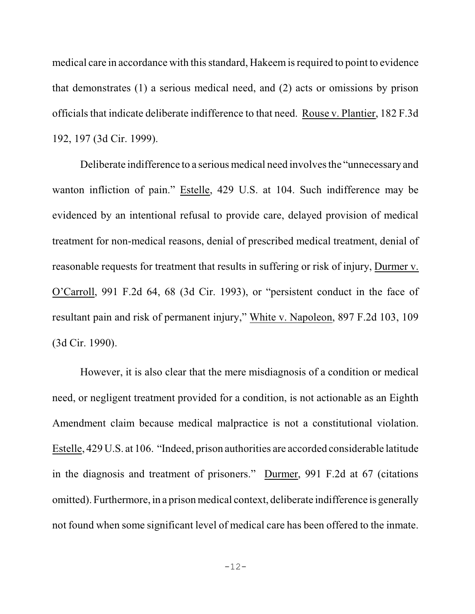medical care in accordance with this standard, Hakeem is required to point to evidence that demonstrates (1) a serious medical need, and (2) acts or omissions by prison officials that indicate deliberate indifference to that need. Rouse v. Plantier, 182 F.3d 192, 197 (3d Cir. 1999).

Deliberate indifference to a serious medical need involves the "unnecessary and wanton infliction of pain." Estelle, 429 U.S. at 104. Such indifference may be evidenced by an intentional refusal to provide care, delayed provision of medical treatment for non-medical reasons, denial of prescribed medical treatment, denial of reasonable requests for treatment that results in suffering or risk of injury, Durmer v. O'Carroll, 991 F.2d 64, 68 (3d Cir. 1993), or "persistent conduct in the face of resultant pain and risk of permanent injury," White v. Napoleon, 897 F.2d 103, 109 (3d Cir. 1990).

However, it is also clear that the mere misdiagnosis of a condition or medical need, or negligent treatment provided for a condition, is not actionable as an Eighth Amendment claim because medical malpractice is not a constitutional violation. Estelle, 429 U.S. at 106. "Indeed, prison authorities are accorded considerable latitude in the diagnosis and treatment of prisoners." Durmer, 991 F.2d at 67 (citations omitted). Furthermore, in a prison medical context, deliberate indifference is generally not found when some significant level of medical care has been offered to the inmate.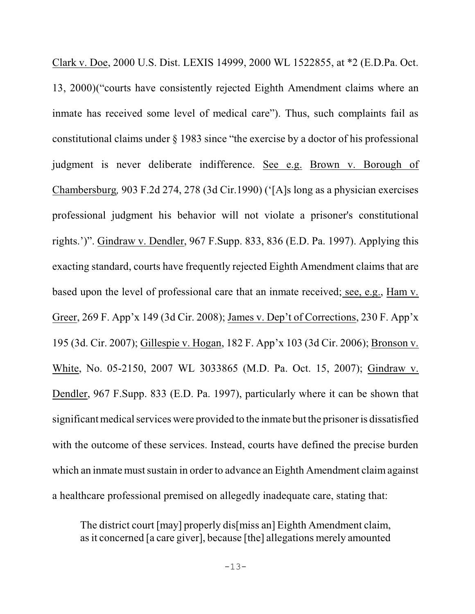Clark v. Doe, 2000 U.S. Dist. LEXIS 14999, 2000 WL 1522855, at \*2 (E.D.Pa. Oct. 13, 2000)("courts have consistently rejected Eighth Amendment claims where an inmate has received some level of medical care"). Thus, such complaints fail as constitutional claims under § 1983 since "the exercise by a doctor of his professional judgment is never deliberate indifference. See e.g. Brown v. Borough of Chambersburg*,* 903 F.2d 274, 278 (3d Cir.1990) ('[A]s long as a physician exercises professional judgment his behavior will not violate a prisoner's constitutional rights.')". Gindraw v. Dendler, 967 F.Supp. 833, 836 (E.D. Pa. 1997). Applying this exacting standard, courts have frequently rejected Eighth Amendment claims that are based upon the level of professional care that an inmate received; see, e.g., Ham v. Greer, 269 F. App'x 149 (3d Cir. 2008); James v. Dep't of Corrections, 230 F. App'x 195 (3d. Cir. 2007); Gillespie v. Hogan, 182 F. App'x 103 (3d Cir. 2006); Bronson v. White, No. 05-2150, 2007 WL 3033865 (M.D. Pa. Oct. 15, 2007); Gindraw v. Dendler, 967 F.Supp. 833 (E.D. Pa. 1997), particularly where it can be shown that significant medical services were provided to the inmate but the prisoner is dissatisfied with the outcome of these services. Instead, courts have defined the precise burden which an inmate must sustain in order to advance an Eighth Amendment claim against a healthcare professional premised on allegedly inadequate care, stating that:

The district court [may] properly dis[miss an] Eighth Amendment claim, asit concerned [a care giver], because [the] allegations merely amounted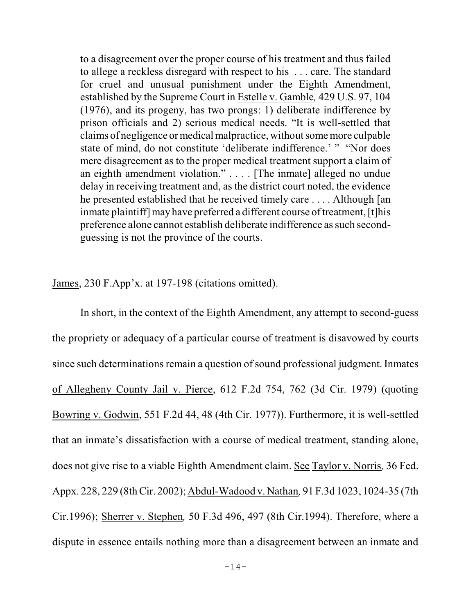to a disagreement over the proper course of his treatment and thus failed to allege a reckless disregard with respect to his . . . care. The standard for cruel and unusual punishment under the Eighth Amendment, established by the Supreme Court in Estelle v. Gamble*,* 429 U.S. 97, 104 (1976), and its progeny, has two prongs: 1) deliberate indifference by prison officials and 2) serious medical needs. "It is well-settled that claims of negligence or medical malpractice, without some more culpable state of mind, do not constitute 'deliberate indifference.' " "Nor does mere disagreement as to the proper medical treatment support a claim of an eighth amendment violation." . . . . [The inmate] alleged no undue delay in receiving treatment and, as the district court noted, the evidence he presented established that he received timely care . . . . Although [an inmate plaintiff] may have preferred a different course of treatment, [t]his preference alone cannot establish deliberate indifference as such secondguessing is not the province of the courts.

James, 230 F.App'x. at 197-198 (citations omitted).

In short, in the context of the Eighth Amendment, any attempt to second-guess the propriety or adequacy of a particular course of treatment is disavowed by courts since such determinations remain a question of sound professional judgment. Inmates of Allegheny County Jail v. Pierce, 612 F.2d 754, 762 (3d Cir. 1979) (quoting Bowring v. Godwin, 551 F.2d 44, 48 (4th Cir. 1977)). Furthermore, it is well-settled that an inmate's dissatisfaction with a course of medical treatment, standing alone, does not give rise to a viable Eighth Amendment claim. See Taylor v. Norris*,* 36 Fed. Appx. 228, 229 (8thCir. 2002); Abdul-Wadood v. Nathan*,* 91 F.3d 1023, 1024-35 (7th Cir.1996); Sherrer v. Stephen*,* 50 F.3d 496, 497 (8th Cir.1994). Therefore, where a dispute in essence entails nothing more than a disagreement between an inmate and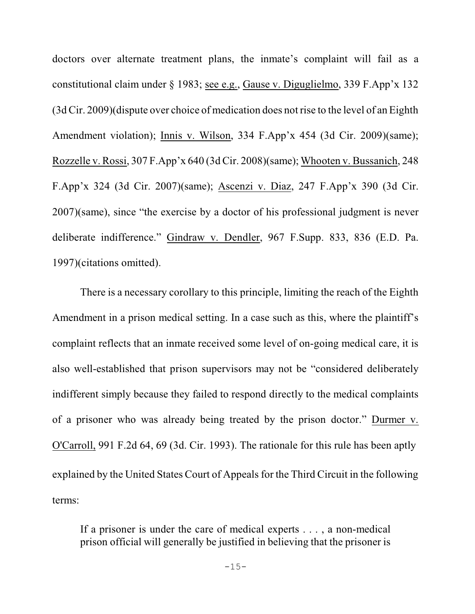doctors over alternate treatment plans, the inmate's complaint will fail as a constitutional claim under § 1983; see e.g., Gause v. Diguglielmo, 339 F.App'x 132 (3d Cir. 2009)(dispute over choice of medication does not rise to the level of an Eighth Amendment violation); Innis v. Wilson, 334 F.App'x 454 (3d Cir. 2009)(same); Rozzelle v. Rossi, 307 F.App'x 640 (3d Cir. 2008)(same); Whooten v. Bussanich, 248 F.App'x 324 (3d Cir. 2007)(same); Ascenzi v. Diaz, 247 F.App'x 390 (3d Cir. 2007)(same), since "the exercise by a doctor of his professional judgment is never deliberate indifference." Gindraw v. Dendler, 967 F.Supp. 833, 836 (E.D. Pa. 1997)(citations omitted).

There is a necessary corollary to this principle, limiting the reach of the Eighth Amendment in a prison medical setting. In a case such as this, where the plaintiff's complaint reflects that an inmate received some level of on-going medical care, it is also well-established that prison supervisors may not be "considered deliberately indifferent simply because they failed to respond directly to the medical complaints of a prisoner who was already being treated by the prison doctor." Durmer v. O'Carroll, 991 F.2d 64, 69 (3d. Cir. 1993). The rationale for this rule has been aptly explained by the United States Court of Appeals for the Third Circuit in the following terms:

If a prisoner is under the care of medical experts . . . , a non-medical prison official will generally be justified in believing that the prisoner is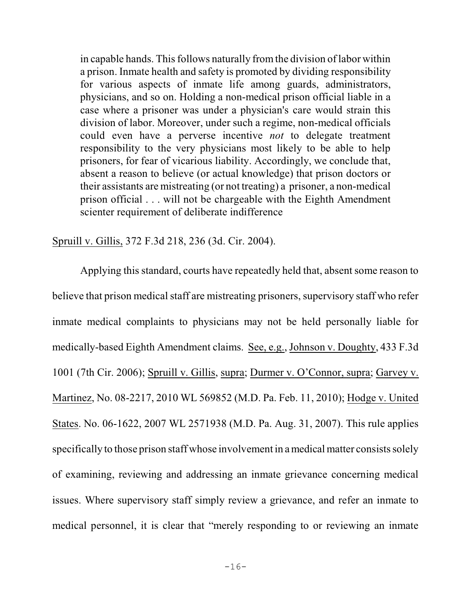in capable hands. This follows naturally fromthe division of labor within a prison. Inmate health and safety is promoted by dividing responsibility for various aspects of inmate life among guards, administrators, physicians, and so on. Holding a non-medical prison official liable in a case where a prisoner was under a physician's care would strain this division of labor. Moreover, under such a regime, non-medical officials could even have a perverse incentive *not* to delegate treatment responsibility to the very physicians most likely to be able to help prisoners, for fear of vicarious liability. Accordingly, we conclude that, absent a reason to believe (or actual knowledge) that prison doctors or their assistants are mistreating (or not treating) a prisoner, a non-medical prison official . . . will not be chargeable with the Eighth Amendment scienter requirement of deliberate indifference

Spruill v. Gillis, 372 F.3d 218, 236 (3d. Cir. 2004).

Applying this standard, courts have repeatedly held that, absent some reason to believe that prison medical staff are mistreating prisoners, supervisory staff who refer inmate medical complaints to physicians may not be held personally liable for medically-based Eighth Amendment claims. See, e.g., Johnson v. Doughty, 433 F.3d 1001 (7th Cir. 2006); Spruill v. Gillis, supra; Durmer v. O'Connor, supra; Garvey v. Martinez, No. 08-2217, 2010 WL 569852 (M.D. Pa. Feb. 11, 2010); Hodge v. United States. No. 06-1622, 2007 WL 2571938 (M.D. Pa. Aug. 31, 2007). This rule applies specifically to those prison staff whose involvement in a medical matter consists solely of examining, reviewing and addressing an inmate grievance concerning medical issues. Where supervisory staff simply review a grievance, and refer an inmate to medical personnel, it is clear that "merely responding to or reviewing an inmate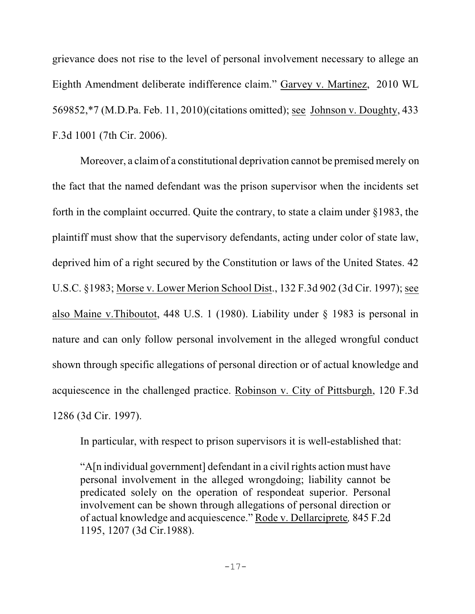grievance does not rise to the level of personal involvement necessary to allege an Eighth Amendment deliberate indifference claim." Garvey v. Martinez, 2010 WL 569852,\*7 (M.D.Pa. Feb. 11, 2010)(citations omitted); see Johnson v. Doughty, 433 F.3d 1001 (7th Cir. 2006).

Moreover, a claimof a constitutional deprivation cannot be premised merely on the fact that the named defendant was the prison supervisor when the incidents set forth in the complaint occurred. Quite the contrary, to state a claim under §1983, the plaintiff must show that the supervisory defendants, acting under color of state law, deprived him of a right secured by the Constitution or laws of the United States. 42 U.S.C. §1983; Morse v. Lower Merion School Dist., 132 F.3d 902 (3d Cir. 1997); see also Maine v.Thiboutot, 448 U.S. 1 (1980). Liability under § 1983 is personal in nature and can only follow personal involvement in the alleged wrongful conduct shown through specific allegations of personal direction or of actual knowledge and acquiescence in the challenged practice. Robinson v. City of Pittsburgh, 120 F.3d 1286 (3d Cir. 1997).

In particular, with respect to prison supervisors it is well-established that:

"A[n individual government] defendant in a civil rights action must have personal involvement in the alleged wrongdoing; liability cannot be predicated solely on the operation of respondeat superior. Personal involvement can be shown through allegations of personal direction or of actual knowledge and acquiescence." Rode v. Dellarciprete*,* 845 F.2d 1195, 1207 (3d Cir.1988).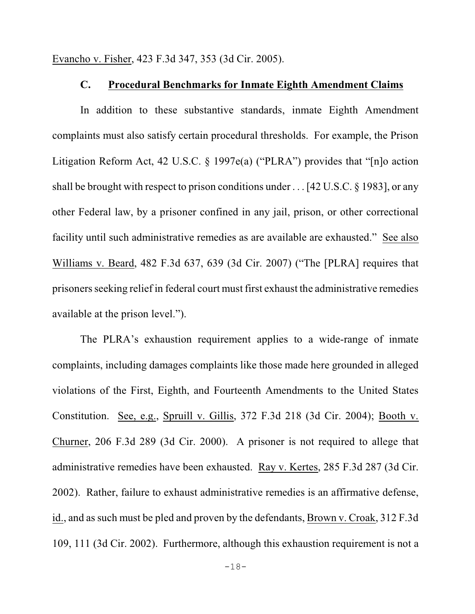Evancho v. Fisher, 423 F.3d 347, 353 (3d Cir. 2005).

#### **C. Procedural Benchmarks for Inmate Eighth Amendment Claims**

In addition to these substantive standards, inmate Eighth Amendment complaints must also satisfy certain procedural thresholds. For example, the Prison Litigation Reform Act, 42 U.S.C. § 1997e(a) ("PLRA") provides that "[n]o action shall be brought with respect to prison conditions under . . . [42 U.S.C. § 1983], or any other Federal law, by a prisoner confined in any jail, prison, or other correctional facility until such administrative remedies as are available are exhausted." See also Williams v. Beard, 482 F.3d 637, 639 (3d Cir. 2007) ("The [PLRA] requires that prisoners seeking relief in federal court must first exhaust the administrative remedies available at the prison level.").

The PLRA's exhaustion requirement applies to a wide-range of inmate complaints, including damages complaints like those made here grounded in alleged violations of the First, Eighth, and Fourteenth Amendments to the United States Constitution. See, e.g., Spruill v. Gillis, 372 F.3d 218 (3d Cir. 2004); Booth v. Churner, 206 F.3d 289 (3d Cir. 2000). A prisoner is not required to allege that administrative remedies have been exhausted. Ray v. Kertes, 285 F.3d 287 (3d Cir. 2002). Rather, failure to exhaust administrative remedies is an affirmative defense, id., and assuch must be pled and proven by the defendants, Brown v. Croak, 312 F.3d 109, 111 (3d Cir. 2002). Furthermore, although this exhaustion requirement is not a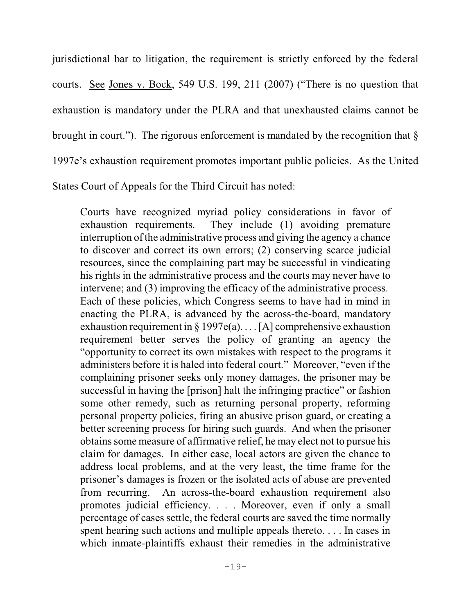jurisdictional bar to litigation, the requirement is strictly enforced by the federal courts. See Jones v. Bock, 549 U.S. 199, 211 (2007) ("There is no question that exhaustion is mandatory under the PLRA and that unexhausted claims cannot be brought in court."). The rigorous enforcement is mandated by the recognition that  $\S$ 1997e's exhaustion requirement promotes important public policies. As the United

States Court of Appeals for the Third Circuit has noted:

Courts have recognized myriad policy considerations in favor of exhaustion requirements. They include (1) avoiding premature interruption of the administrative process and giving the agency a chance to discover and correct its own errors; (2) conserving scarce judicial resources, since the complaining part may be successful in vindicating his rights in the administrative process and the courts may never have to intervene; and (3) improving the efficacy of the administrative process. Each of these policies, which Congress seems to have had in mind in enacting the PLRA, is advanced by the across-the-board, mandatory exhaustion requirement in  $\S 1997e(a)$ ... [A] comprehensive exhaustion requirement better serves the policy of granting an agency the "opportunity to correct its own mistakes with respect to the programs it administers before it is haled into federal court." Moreover, "even if the complaining prisoner seeks only money damages, the prisoner may be successful in having the [prison] halt the infringing practice" or fashion some other remedy, such as returning personal property, reforming personal property policies, firing an abusive prison guard, or creating a better screening process for hiring such guards. And when the prisoner obtains some measure of affirmative relief, he may elect not to pursue his claim for damages. In either case, local actors are given the chance to address local problems, and at the very least, the time frame for the prisoner's damages is frozen or the isolated acts of abuse are prevented from recurring. An across-the-board exhaustion requirement also promotes judicial efficiency. . . . Moreover, even if only a small percentage of cases settle, the federal courts are saved the time normally spent hearing such actions and multiple appeals thereto. . . . In cases in which inmate-plaintiffs exhaust their remedies in the administrative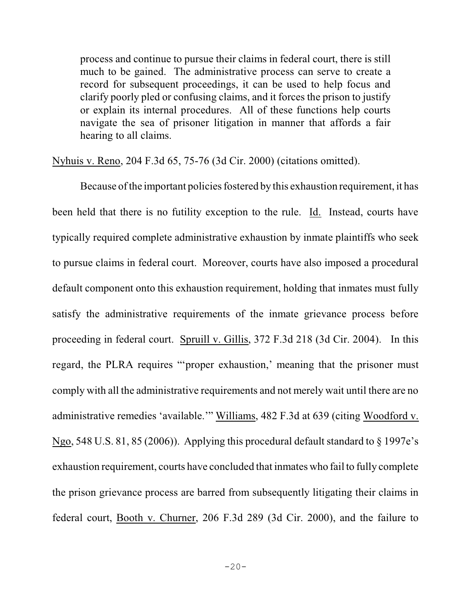process and continue to pursue their claims in federal court, there is still much to be gained. The administrative process can serve to create a record for subsequent proceedings, it can be used to help focus and clarify poorly pled or confusing claims, and it forces the prison to justify or explain its internal procedures. All of these functions help courts navigate the sea of prisoner litigation in manner that affords a fair hearing to all claims.

#### Nyhuis v. Reno, 204 F.3d 65, 75-76 (3d Cir. 2000) (citations omitted).

Because of the important policies fostered by this exhaustion requirement, it has been held that there is no futility exception to the rule. Id. Instead, courts have typically required complete administrative exhaustion by inmate plaintiffs who seek to pursue claims in federal court. Moreover, courts have also imposed a procedural default component onto this exhaustion requirement, holding that inmates must fully satisfy the administrative requirements of the inmate grievance process before proceeding in federal court. Spruill v. Gillis, 372 F.3d 218 (3d Cir. 2004). In this regard, the PLRA requires "'proper exhaustion,' meaning that the prisoner must comply with all the administrative requirements and not merely wait until there are no administrative remedies 'available.'" Williams, 482 F.3d at 639 (citing Woodford v. Ngo, 548 U.S. 81, 85 (2006)). Applying this procedural default standard to § 1997e's exhaustion requirement, courts have concluded that inmates who fail to fully complete the prison grievance process are barred from subsequently litigating their claims in federal court, Booth v. Churner, 206 F.3d 289 (3d Cir. 2000), and the failure to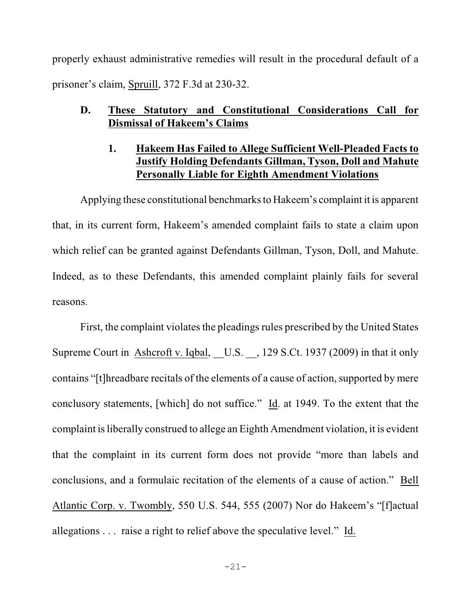properly exhaust administrative remedies will result in the procedural default of a prisoner's claim, Spruill, 372 F.3d at 230-32.

# **D. These Statutory and Constitutional Considerations Call for Dismissal of Hakeem's Claims**

# **1. Hakeem Has Failed to Allege Sufficient Well-Pleaded Facts to Justify Holding Defendants Gillman, Tyson, Doll and Mahute Personally Liable for Eighth Amendment Violations**

Applying these constitutional benchmarks to Hakeem's complaint it is apparent that, in its current form, Hakeem's amended complaint fails to state a claim upon which relief can be granted against Defendants Gillman, Tyson, Doll, and Mahute. Indeed, as to these Defendants, this amended complaint plainly fails for several reasons.

First, the complaint violates the pleadings rules prescribed by the United States Supreme Court in Ashcroft v. Iqbal, U.S. , 129 S.Ct. 1937 (2009) in that it only contains "[t]hreadbare recitals of the elements of a cause of action, supported by mere conclusory statements, [which] do not suffice." Id. at 1949. To the extent that the complaint is liberally construed to allege an Eighth Amendment violation, it is evident that the complaint in its current form does not provide "more than labels and conclusions, and a formulaic recitation of the elements of a cause of action." Bell Atlantic Corp. v. Twombly, 550 U.S. 544, 555 (2007) Nor do Hakeem's "[f]actual allegations . . . raise a right to relief above the speculative level." Id.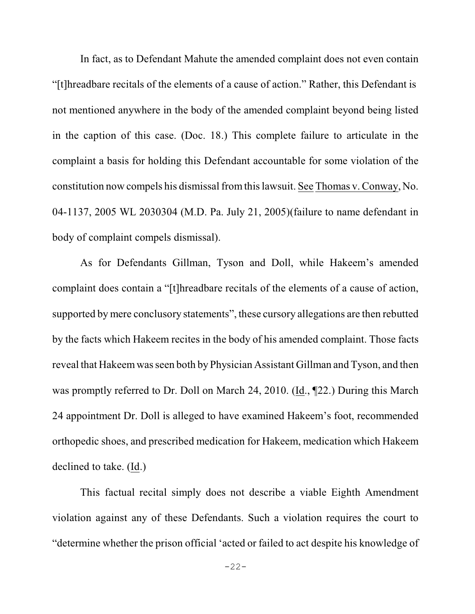In fact, as to Defendant Mahute the amended complaint does not even contain "[t]hreadbare recitals of the elements of a cause of action." Rather, this Defendant is not mentioned anywhere in the body of the amended complaint beyond being listed in the caption of this case. (Doc. 18.) This complete failure to articulate in the complaint a basis for holding this Defendant accountable for some violation of the constitution now compels his dismissal fromthislawsuit. See Thomas v. Conway, No. 04-1137, 2005 WL 2030304 (M.D. Pa. July 21, 2005)(failure to name defendant in body of complaint compels dismissal).

As for Defendants Gillman, Tyson and Doll, while Hakeem's amended complaint does contain a "[t]hreadbare recitals of the elements of a cause of action, supported by mere conclusory statements", these cursory allegations are then rebutted by the facts which Hakeem recites in the body of his amended complaint. Those facts reveal that Hakeem was seen both by Physician Assistant Gillman and Tyson, and then was promptly referred to Dr. Doll on March 24, 2010. (Id., ¶22.) During this March 24 appointment Dr. Doll is alleged to have examined Hakeem's foot, recommended orthopedic shoes, and prescribed medication for Hakeem, medication which Hakeem declined to take. (Id.)

This factual recital simply does not describe a viable Eighth Amendment violation against any of these Defendants. Such a violation requires the court to "determine whether the prison official 'acted or failed to act despite his knowledge of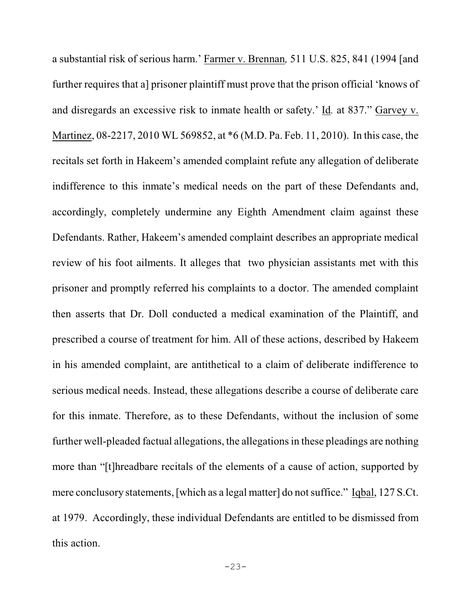a substantial risk of serious harm.' Farmer v. Brennan*,* 511 U.S. 825, 841 (1994 [and further requires that a] prisoner plaintiff must prove that the prison official 'knows of and disregards an excessive risk to inmate health or safety.' Id*.* at 837." Garvey v. Martinez, 08-2217, 2010 WL 569852, at \*6 (M.D. Pa. Feb. 11, 2010). In this case, the recitals set forth in Hakeem's amended complaint refute any allegation of deliberate indifference to this inmate's medical needs on the part of these Defendants and, accordingly, completely undermine any Eighth Amendment claim against these Defendants. Rather, Hakeem's amended complaint describes an appropriate medical review of his foot ailments. It alleges that two physician assistants met with this prisoner and promptly referred his complaints to a doctor. The amended complaint then asserts that Dr. Doll conducted a medical examination of the Plaintiff, and prescribed a course of treatment for him. All of these actions, described by Hakeem in his amended complaint, are antithetical to a claim of deliberate indifference to serious medical needs. Instead, these allegations describe a course of deliberate care for this inmate. Therefore, as to these Defendants, without the inclusion of some further well-pleaded factual allegations, the allegations in these pleadings are nothing more than "[t]hreadbare recitals of the elements of a cause of action, supported by mere conclusory statements, [which as a legal matter] do not suffice." Iqbal, 127 S.Ct. at 1979. Accordingly, these individual Defendants are entitled to be dismissed from this action.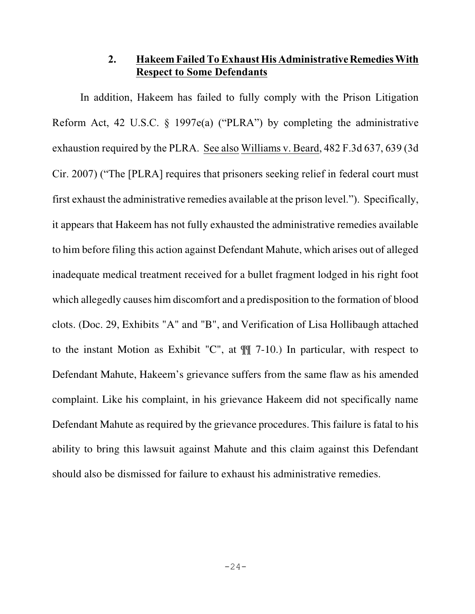## **2. Hakeem Failed ToExhaust His AdministrativeRemedies With Respect to Some Defendants**

In addition, Hakeem has failed to fully comply with the Prison Litigation Reform Act, 42 U.S.C. § 1997e(a) ("PLRA") by completing the administrative exhaustion required by the PLRA. See also Williams v. Beard, 482 F.3d 637, 639 (3d Cir. 2007) ("The [PLRA] requires that prisoners seeking relief in federal court must first exhaust the administrative remedies available at the prison level."). Specifically, it appears that Hakeem has not fully exhausted the administrative remedies available to him before filing this action against Defendant Mahute, which arises out of alleged inadequate medical treatment received for a bullet fragment lodged in his right foot which allegedly causes him discomfort and a predisposition to the formation of blood clots. (Doc. 29, Exhibits "A" and "B", and Verification of Lisa Hollibaugh attached to the instant Motion as Exhibit "C", at ¶¶ 7-10.) In particular, with respect to Defendant Mahute, Hakeem's grievance suffers from the same flaw as his amended complaint. Like his complaint, in his grievance Hakeem did not specifically name Defendant Mahute as required by the grievance procedures. This failure is fatal to his ability to bring this lawsuit against Mahute and this claim against this Defendant should also be dismissed for failure to exhaust his administrative remedies.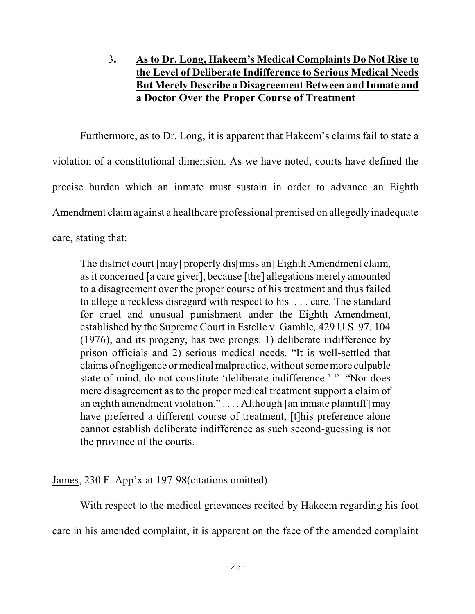# 3**. As to Dr. Long, Hakeem's Medical Complaints Do Not Rise to the Level of Deliberate Indifference to Serious Medical Needs But Merely Describe a Disagreement Between and Inmate and a Doctor Over the Proper Course of Treatment**

Furthermore, as to Dr. Long, it is apparent that Hakeem's claims fail to state a violation of a constitutional dimension. As we have noted, courts have defined the precise burden which an inmate must sustain in order to advance an Eighth Amendment claimagainst a healthcare professional premised on allegedly inadequate care, stating that:

The district court [may] properly dis[miss an] Eighth Amendment claim, asit concerned [a care giver], because [the] allegations merely amounted to a disagreement over the proper course of his treatment and thus failed to allege a reckless disregard with respect to his . . . care. The standard for cruel and unusual punishment under the Eighth Amendment, established by the Supreme Court in Estelle v. Gamble*,* 429 U.S. 97, 104 (1976), and its progeny, has two prongs: 1) deliberate indifference by prison officials and 2) serious medical needs. "It is well-settled that claims of negligence or medical malpractice, without some more culpable state of mind, do not constitute 'deliberate indifference.' " "Nor does mere disagreement as to the proper medical treatment support a claim of an eighth amendment violation." . . . . Although [an inmate plaintiff] may have preferred a different course of treatment, [t]his preference alone cannot establish deliberate indifference as such second-guessing is not the province of the courts.

James, 230 F. App'x at 197-98(citations omitted).

With respect to the medical grievances recited by Hakeem regarding his foot care in his amended complaint, it is apparent on the face of the amended complaint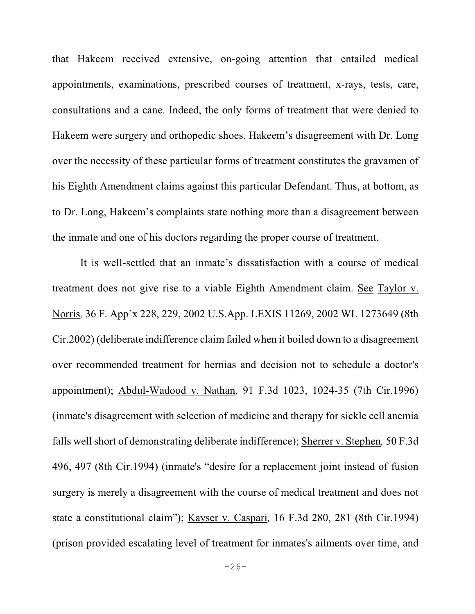that Hakeem received extensive, on-going attention that entailed medical appointments, examinations, prescribed courses of treatment, x-rays, tests, care, consultations and a cane. Indeed, the only forms of treatment that were denied to Hakeem were surgery and orthopedic shoes. Hakeem's disagreement with Dr. Long over the necessity of these particular forms of treatment constitutes the gravamen of his Eighth Amendment claims against this particular Defendant. Thus, at bottom, as to Dr. Long, Hakeem's complaints state nothing more than a disagreement between the inmate and one of his doctors regarding the proper course of treatment.

It is well-settled that an inmate's dissatisfaction with a course of medical treatment does not give rise to a viable Eighth Amendment claim. See Taylor v. Norris*,* 36 F. App'x 228, 229, 2002 U.S.App. LEXIS 11269, 2002 WL 1273649 (8th Cir.2002) (deliberate indifference claim failed when it boiled down to a disagreement over recommended treatment for hernias and decision not to schedule a doctor's appointment); Abdul-Wadood v. Nathan*,* 91 F.3d 1023, 1024-35 (7th Cir.1996) (inmate's disagreement with selection of medicine and therapy for sickle cell anemia falls well short of demonstrating deliberate indifference); Sherrer v. Stephen*,* 50 F.3d 496, 497 (8th Cir.1994) (inmate's "desire for a replacement joint instead of fusion surgery is merely a disagreement with the course of medical treatment and does not state a constitutional claim"); Kayser v. Caspari*,* 16 F.3d 280, 281 (8th Cir.1994) (prison provided escalating level of treatment for inmates's ailments over time, and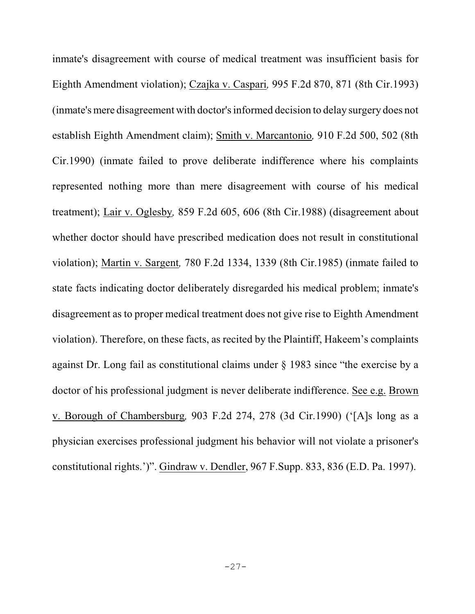inmate's disagreement with course of medical treatment was insufficient basis for Eighth Amendment violation); Czajka v. Caspari*,* 995 F.2d 870, 871 (8th Cir.1993) (inmate's mere disagreement with doctor's informed decision to delay surgery does not establish Eighth Amendment claim); Smith v. Marcantonio*,* 910 F.2d 500, 502 (8th Cir.1990) (inmate failed to prove deliberate indifference where his complaints represented nothing more than mere disagreement with course of his medical treatment); Lair v. Oglesby*,* 859 F.2d 605, 606 (8th Cir.1988) (disagreement about whether doctor should have prescribed medication does not result in constitutional violation); Martin v. Sargent*,* 780 F.2d 1334, 1339 (8th Cir.1985) (inmate failed to state facts indicating doctor deliberately disregarded his medical problem; inmate's disagreement as to proper medical treatment does not give rise to Eighth Amendment violation). Therefore, on these facts, as recited by the Plaintiff, Hakeem's complaints against Dr. Long fail as constitutional claims under § 1983 since "the exercise by a doctor of his professional judgment is never deliberate indifference. See e.g. Brown v. Borough of Chambersburg*,* 903 F.2d 274, 278 (3d Cir.1990) ('[A]s long as a physician exercises professional judgment his behavior will not violate a prisoner's constitutional rights.')". Gindraw v. Dendler, 967 F.Supp. 833, 836 (E.D. Pa. 1997).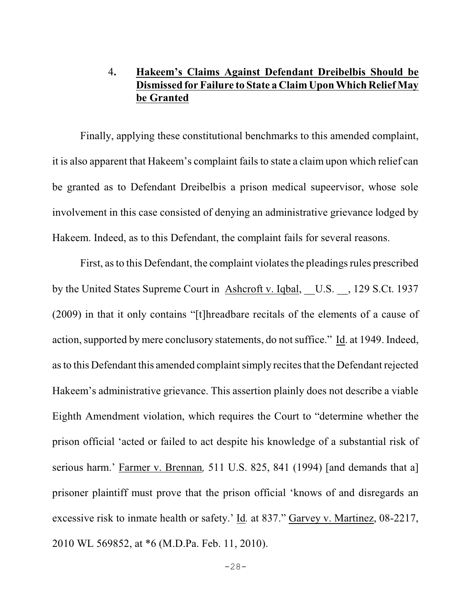# 4**. Hakeem's Claims Against Defendant Dreibelbis Should be Dismissed for Failure to State a Claim Upon Which Relief May be Granted**

Finally, applying these constitutional benchmarks to this amended complaint, it is also apparent that Hakeem's complaint fails to state a claim upon which relief can be granted as to Defendant Dreibelbis a prison medical supeervisor, whose sole involvement in this case consisted of denying an administrative grievance lodged by Hakeem. Indeed, as to this Defendant, the complaint fails for several reasons.

First, as to this Defendant, the complaint violates the pleadings rules prescribed by the United States Supreme Court in Ashcroft v. Iqbal, U.S. , 129 S.Ct. 1937 (2009) in that it only contains "[t]hreadbare recitals of the elements of a cause of action, supported by mere conclusory statements, do not suffice." Id. at 1949. Indeed, as to this Defendant this amended complaint simply recites that the Defendant rejected Hakeem's administrative grievance. This assertion plainly does not describe a viable Eighth Amendment violation, which requires the Court to "determine whether the prison official 'acted or failed to act despite his knowledge of a substantial risk of serious harm.' Farmer v. Brennan*,* 511 U.S. 825, 841 (1994) [and demands that a] prisoner plaintiff must prove that the prison official 'knows of and disregards an excessive risk to inmate health or safety.' Id*.* at 837." Garvey v. Martinez, 08-2217, 2010 WL 569852, at \*6 (M.D.Pa. Feb. 11, 2010).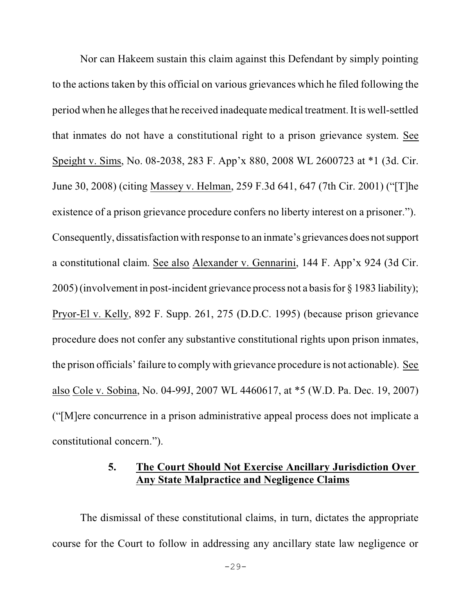Nor can Hakeem sustain this claim against this Defendant by simply pointing to the actions taken by this official on various grievances which he filed following the period when he alleges that he received inadequate medical treatment. It is well-settled that inmates do not have a constitutional right to a prison grievance system. See Speight v. Sims, No. 08-2038, 283 F. App'x 880, 2008 WL 2600723 at \*1 (3d. Cir. June 30, 2008) (citing Massey v. Helman, 259 F.3d 641, 647 (7th Cir. 2001) ("[T]he existence of a prison grievance procedure confers no liberty interest on a prisoner."). Consequently, dissatisfaction with response to an inmate's grievances does notsupport a constitutional claim. See also Alexander v. Gennarini, 144 F. App'x 924 (3d Cir. 2005) (involvement in post-incident grievance process not a basis for § 1983 liability); Pryor-El v. Kelly, 892 F. Supp. 261, 275 (D.D.C. 1995) (because prison grievance procedure does not confer any substantive constitutional rights upon prison inmates, the prison officials' failure to comply with grievance procedure is not actionable). See also Cole v. Sobina, No. 04-99J, 2007 WL 4460617, at \*5 (W.D. Pa. Dec. 19, 2007) ("[M]ere concurrence in a prison administrative appeal process does not implicate a constitutional concern.").

### **5. The Court Should Not Exercise Ancillary Jurisdiction Over Any State Malpractice and Negligence Claims**

The dismissal of these constitutional claims, in turn, dictates the appropriate course for the Court to follow in addressing any ancillary state law negligence or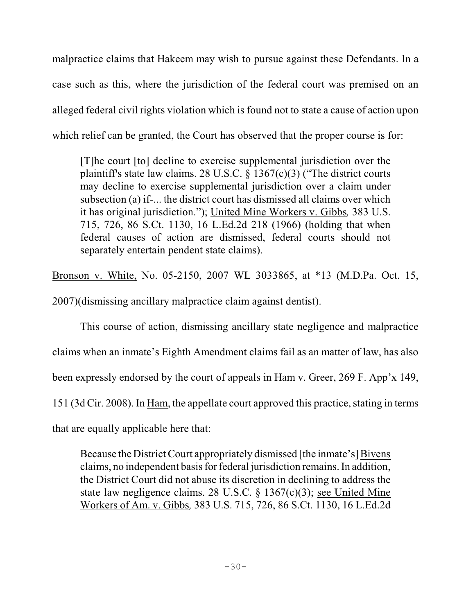malpractice claims that Hakeem may wish to pursue against these Defendants. In a case such as this, where the jurisdiction of the federal court was premised on an alleged federal civil rights violation which is found not to state a cause of action upon which relief can be granted, the Court has observed that the proper course is for:

[T]he court [to] decline to exercise supplemental jurisdiction over the plaintiff's state law claims. 28 U.S.C. § 1367(c)(3) ("The district courts may decline to exercise supplemental jurisdiction over a claim under subsection (a) if-... the district court has dismissed all claims over which it has original jurisdiction."); United Mine Workers v. Gibbs*,* 383 U.S. 715, 726, 86 S.Ct. 1130, 16 L.Ed.2d 218 (1966) (holding that when federal causes of action are dismissed, federal courts should not separately entertain pendent state claims).

Bronson v. White, No. 05-2150, 2007 WL 3033865, at \*13 (M.D.Pa. Oct. 15, 2007)(dismissing ancillary malpractice claim against dentist).

This course of action, dismissing ancillary state negligence and malpractice claims when an inmate's Eighth Amendment claims fail as an matter of law, has also been expressly endorsed by the court of appeals in Ham v. Greer, 269 F. App'x 149, 151 (3d Cir. 2008). In Ham, the appellate court approved this practice, stating in terms that are equally applicable here that:

Because the District Court appropriately dismissed [the inmate's] Bivens claims, no independent basis for federal jurisdiction remains. In addition, the District Court did not abuse its discretion in declining to address the state law negligence claims. 28 U.S.C. § 1367(c)(3); see United Mine Workers of Am. v. Gibbs*,* 383 U.S. 715, 726, 86 S.Ct. 1130, 16 L.Ed.2d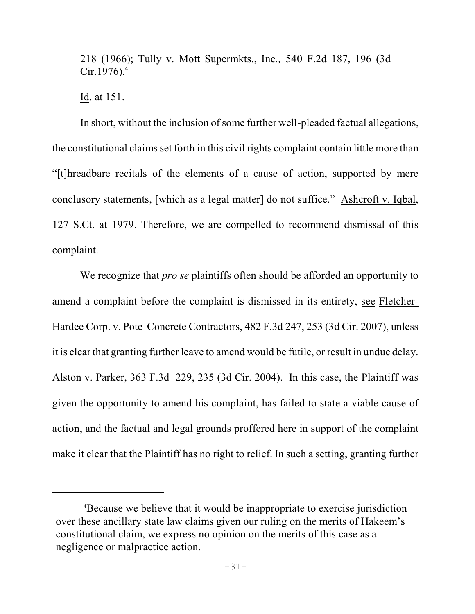218 (1966); Tully v. Mott Supermkts., Inc*.,* 540 F.2d 187, 196 (3d  $Cir.1976$ .<sup>4</sup>

Id. at 151.

In short, without the inclusion of some further well-pleaded factual allegations, the constitutional claims set forth in this civil rights complaint contain little more than "[t]hreadbare recitals of the elements of a cause of action, supported by mere conclusory statements, [which as a legal matter] do not suffice." Ashcroft v. Iqbal, 127 S.Ct. at 1979. Therefore, we are compelled to recommend dismissal of this complaint.

We recognize that *pro se* plaintiffs often should be afforded an opportunity to amend a complaint before the complaint is dismissed in its entirety, see Fletcher-Hardee Corp. v. Pote Concrete Contractors, 482 F.3d 247, 253 (3d Cir. 2007), unless it is clear that granting further leave to amend would be futile, or result in undue delay. Alston v. Parker, 363 F.3d 229, 235 (3d Cir. 2004). In this case, the Plaintiff was given the opportunity to amend his complaint, has failed to state a viable cause of action, and the factual and legal grounds proffered here in support of the complaint make it clear that the Plaintiff has no right to relief. In such a setting, granting further

Because we believe that it would be inappropriate to exercise jurisdiction <sup>4</sup> over these ancillary state law claims given our ruling on the merits of Hakeem's constitutional claim, we express no opinion on the merits of this case as a negligence or malpractice action.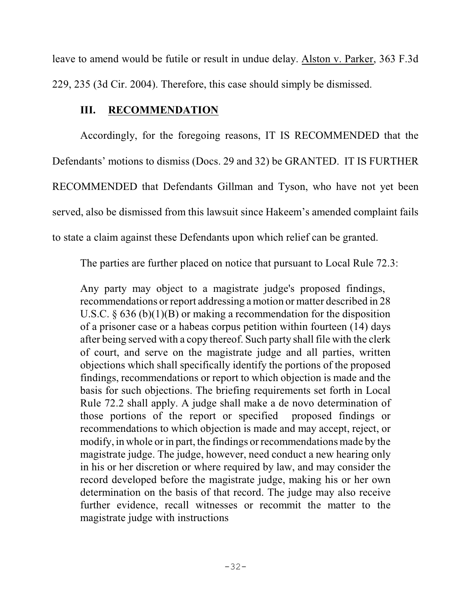leave to amend would be futile or result in undue delay. Alston v. Parker, 363 F.3d 229, 235 (3d Cir. 2004). Therefore, this case should simply be dismissed.

# **III. RECOMMENDATION**

Accordingly, for the foregoing reasons, IT IS RECOMMENDED that the Defendants' motions to dismiss (Docs. 29 and 32) be GRANTED. IT IS FURTHER RECOMMENDED that Defendants Gillman and Tyson, who have not yet been served, also be dismissed from this lawsuit since Hakeem's amended complaint fails to state a claim against these Defendants upon which relief can be granted.

The parties are further placed on notice that pursuant to Local Rule 72.3:

Any party may object to a magistrate judge's proposed findings, recommendations or report addressing a motion or matter described in 28 U.S.C.  $\S 636 (b)(1)(B)$  or making a recommendation for the disposition of a prisoner case or a habeas corpus petition within fourteen (14) days after being served with a copy thereof. Such party shall file with the clerk of court, and serve on the magistrate judge and all parties, written objections which shall specifically identify the portions of the proposed findings, recommendations or report to which objection is made and the basis for such objections. The briefing requirements set forth in Local Rule 72.2 shall apply. A judge shall make a de novo determination of those portions of the report or specified proposed findings or recommendations to which objection is made and may accept, reject, or modify, in whole or in part, the findings or recommendations made by the magistrate judge. The judge, however, need conduct a new hearing only in his or her discretion or where required by law, and may consider the record developed before the magistrate judge, making his or her own determination on the basis of that record. The judge may also receive further evidence, recall witnesses or recommit the matter to the magistrate judge with instructions